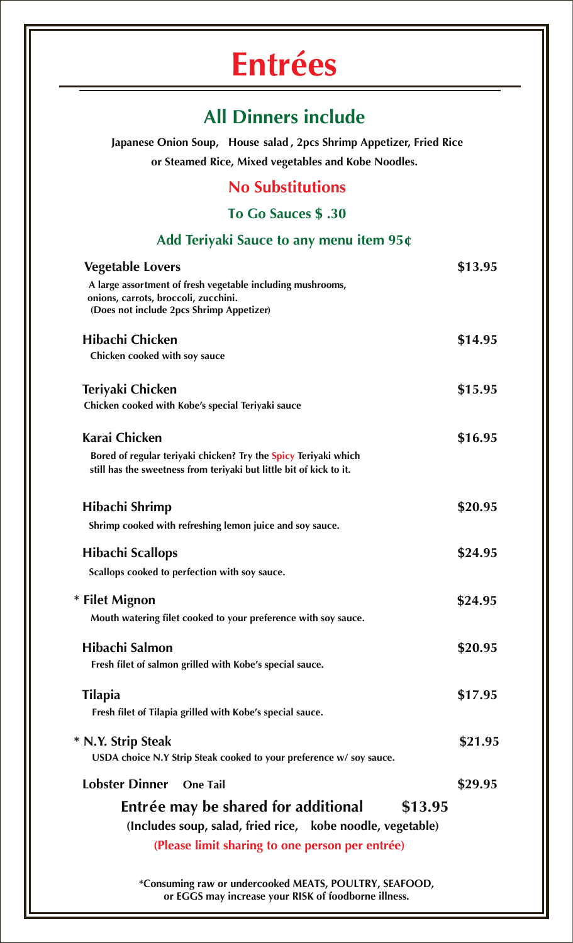# **Entrées**

### **All Dinners include**

**Japanese Onion Soup, House salad , 2pcs Shrimp Appetizer, Fried Rice or Steamed Rice, Mixed vegetables and Kobe Noodles.** 

#### **No Substitutions**

**To Go Sauces \$ .30**

#### **Add Teriyaki Sauce to any menu item 95¢**

| <b>Vegetable Lovers</b>                                                                            | \$13.95 |
|----------------------------------------------------------------------------------------------------|---------|
| A large assortment of fresh vegetable including mushrooms,<br>onions, carrots, broccoli, zucchini. |         |
| (Does not include 2pcs Shrimp Appetizer)                                                           |         |
| Hibachi Chicken                                                                                    | \$14.95 |
| Chicken cooked with soy sauce                                                                      |         |
| Teriyaki Chicken                                                                                   | \$15.95 |
| Chicken cooked with Kobe's special Teriyaki sauce                                                  |         |
| <b>Karai Chicken</b>                                                                               | \$16.95 |
| Bored of regular teriyaki chicken? Try the Spicy Teriyaki which                                    |         |
| still has the sweetness from teriyaki but little bit of kick to it.                                |         |
| Hibachi Shrimp                                                                                     | \$20.95 |
| Shrimp cooked with refreshing lemon juice and soy sauce.                                           |         |
| Hibachi Scallops                                                                                   | \$24.95 |
| Scallops cooked to perfection with soy sauce.                                                      |         |
| * Filet Mignon                                                                                     | \$24.95 |
| Mouth watering filet cooked to your preference with soy sauce.                                     |         |
| Hibachi Salmon                                                                                     | \$20.95 |
| Fresh filet of salmon grilled with Kobe's special sauce.                                           |         |
| <b>Tilapia</b>                                                                                     | \$17.95 |
| Fresh filet of Tilapia grilled with Kobe's special sauce.                                          |         |
| * N.Y. Strip Steak                                                                                 | \$21.95 |
| USDA choice N.Y Strip Steak cooked to your preference w/ soy sauce.                                |         |
| <b>Lobster Dinner</b><br><b>One Tail</b>                                                           | \$29.95 |
| Entrée may be shared for additional<br>\$13.95                                                     |         |
| (Includes soup, salad, fried rice, kobe noodle, vegetable)                                         |         |
| (Please limit sharing to one person per entrée)                                                    |         |
|                                                                                                    |         |

**\*Consuming raw or undercooked MEATS, POULTRY, SEAFOOD, or EGGS may increase your RISK of foodborne illness.**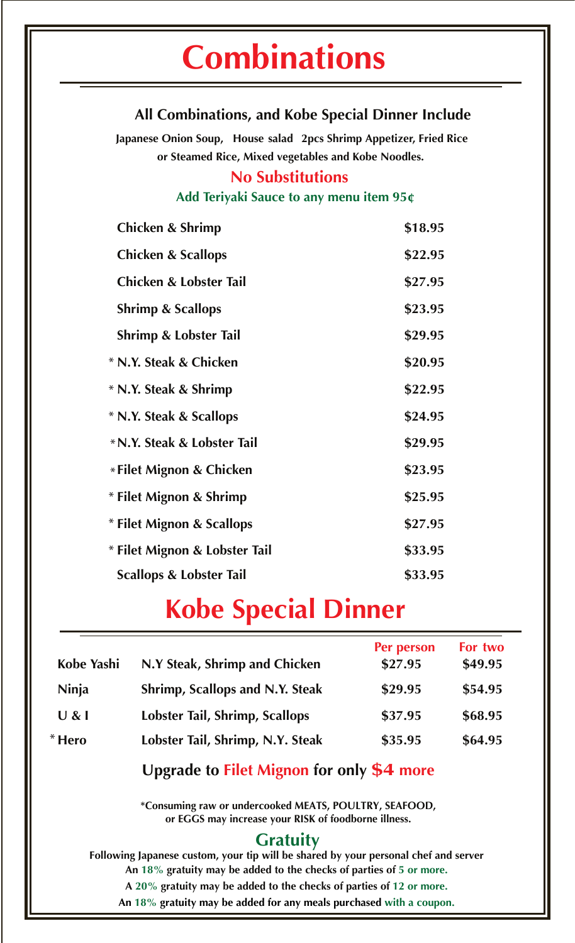#### **All Combinations, and Kobe Special Dinner Include**

**Japanese Onion Soup, House salad 2pcs Shrimp Appetizer, Fried Rice or Steamed Rice, Mixed vegetables and Kobe Noodles.**

#### **No Substitutions**

#### **Add Teriyaki Sauce to any menu item 95¢**

| <b>Chicken &amp; Shrimp</b>   | \$18.95 |
|-------------------------------|---------|
| <b>Chicken &amp; Scallops</b> | \$22.95 |
| Chicken & Lobster Tail        | \$27.95 |
| <b>Shrimp &amp; Scallops</b>  | \$23.95 |
| Shrimp & Lobster Tail         | \$29.95 |
| * N.Y. Steak & Chicken        | \$20.95 |
| * N.Y. Steak & Shrimp         | \$22.95 |
| * N.Y. Steak & Scallops       | \$24.95 |
| * N.Y. Steak & Lobster Tail   | \$29.95 |
| * Filet Mignon & Chicken      | \$23.95 |
| * Filet Mignon & Shrimp       | \$25.95 |
| * Filet Mignon & Scallops     | \$27.95 |
| * Filet Mignon & Lobster Tail | \$33.95 |
| Scallops & Lobster Tail       | \$33.95 |

## **Kobe Special Dinner**

| Kobe Yashi | N.Y Steak, Shrimp and Chicken    | Per person<br>\$27.95 | For two<br>\$49.95 |
|------------|----------------------------------|-----------------------|--------------------|
| Ninja      | Shrimp, Scallops and N.Y. Steak  | \$29.95               | \$54.95            |
| U &        | Lobster Tail, Shrimp, Scallops   | \$37.95               | \$68.95            |
| $*$ Hero   | Lobster Tail, Shrimp, N.Y. Steak | \$35.95               | \$64.95            |

#### **Upgrade to Filet Mignon for only \$4 more**

**\*Consuming raw or undercooked MEATS, POULTRY, SEAFOOD, or EGGS may increase your RISK of foodborne illness.**

#### **Gratuity**

**Following Japanese custom, your tip will be shared by your personal chef and server An 18% gratuity may be added to the checks of parties of 5 or more. A 20% gratuity may be added to the checks of parties of 12 or more. An 18% gratuity may be added for any meals purchased with a coupon.**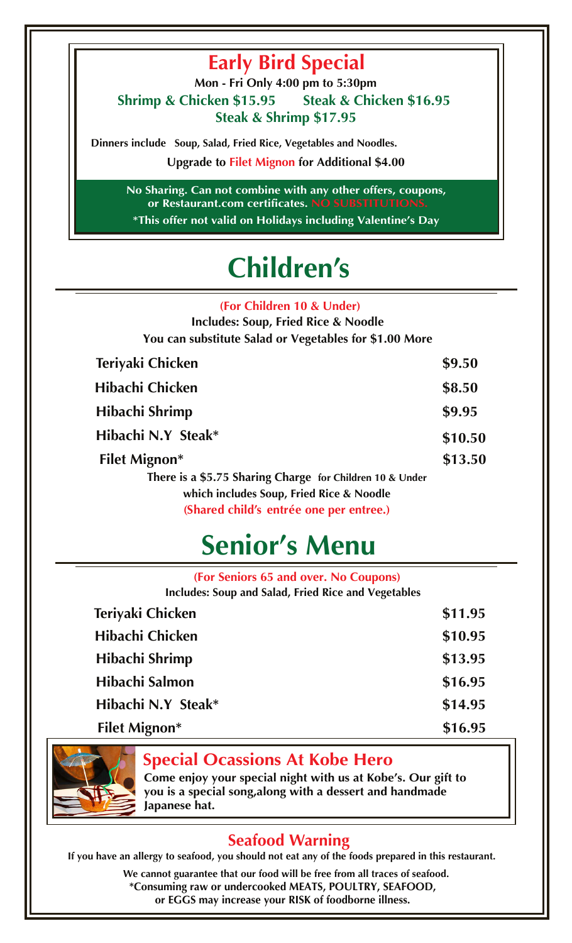### **Early Bird Special**

**Shrimp & Chicken \$15.95 Steak & Chicken \$16.95 Steak & Shrimp \$17.95 Mon - Fri Only 4:00 pm to 5:30pm**

**Dinners include Soup, Salad, Fried Rice, Vegetables and Noodles.** 

**Upgrade to Filet Mignon for Additional \$4.00**

**No Sharing. Can not combine with any other offers, coupons, or Restaurant.com certificates. NO SUBSTITUTIONS. \*This offer not valid on Holidays including Valentine's Day**

# **Children's**

**(For Children 10 & Under)**

| <b>Includes: Soup, Fried Rice &amp; Noodle</b><br>You can substitute Salad or Vegetables for \$1.00 More |         |
|----------------------------------------------------------------------------------------------------------|---------|
| Teriyaki Chicken                                                                                         | \$9.50  |
| Hibachi Chicken                                                                                          | \$8.50  |
| Hibachi Shrimp                                                                                           | \$9.95  |
| Hibachi N.Y Steak*                                                                                       | \$10.50 |
| <b>Filet Mignon*</b>                                                                                     | \$13.50 |
| There is a \$5.75 Sharing Charge for Children 10 & Under<br>which includes Soup, Fried Rice & Noodle     |         |
| (Shared child's entrée one per entree.)                                                                  |         |

# **Senior's Menu**

| (For Seniors 65 and over. No Coupons)<br><b>Includes: Soup and Salad, Fried Rice and Vegetables</b> |         |
|-----------------------------------------------------------------------------------------------------|---------|
|                                                                                                     |         |
| Teriyaki Chicken                                                                                    | \$11.95 |
| <b>Hibachi Chicken</b>                                                                              | \$10.95 |
| Hibachi Shrimp                                                                                      | \$13.95 |
| Hibachi Salmon                                                                                      | \$16.95 |
| Hibachi N.Y Steak*                                                                                  | \$14.95 |
| <b>Filet Mignon*</b>                                                                                | \$16.95 |



#### **Special Ocassions At Kobe Hero**

**Come enjoy your special night with us at Kobe's. Our gift to you is a special song,along with a dessert and handmade Japanese hat.** 

#### **Seafood Warning**

**If you have an allergy to seafood, you should not eat any of the foods prepared in this restaurant.**

**We cannot guarantee that our food will be free from all traces of seafood. \*Consuming raw or undercooked MEATS, POULTRY, SEAFOOD, or EGGS may increase your RISK of foodborne illness.**